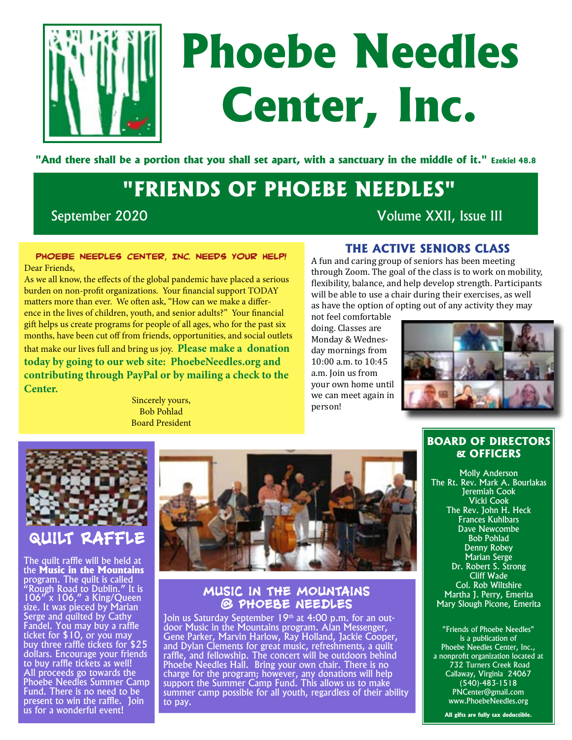

# **Phoebe Needles Center, Inc.**

**"And there shall be a portion that you shall set apart, with a sanctuary in the middle of it." Ezekiel 48.8**

# **"FRIENDS OF PHOEBE NEEDLES"**

September 2020 Volume XXII, Issue III

#### **PHOEBE NEEDLES CENTER, INC. NEEDS YOUR HELP!**  Dear Friends,

As we all know, the effects of the global pandemic have placed a serious burden on non-profit organizations. Your financial support TODAY matters more than ever. We often ask, "How can we make a difference in the lives of children, youth, and senior adults?" Your financial gift helps us create programs for people of all ages, who for the past six months, have been cut off from friends, opportunities, and social outlets that make our lives full and bring us joy. **Please make a donation today by going to our web site: [PhoebeNeedles.org](phoebeneedles.org) and contributing through PayPal or by mailing a check to the Center.**

Sincerely yours, Bob Pohlad Board President

## **The Active Seniors Class**

A fun and caring group of seniors has been meeting through Zoom. The goal of the class is to work on mobility, flexibility, balance, and help develop strength. Participants will be able to use a chair during their exercises, as well as have the option of opting out of any activity they may

not feel comfortable doing. Classes are Monday & Wednesday mornings from 10:00 a.m. to 10:45 a.m. Join us from your own home until we can meet again in person!



## **BOARD OF DIRECTORS & OFFICERS** Molly Anderson

The Rt. Rev. Mark A. Bourlakas Jeremiah Cook Vicki Cook The Rev. John H. Heck Frances Kuhlbars Dave Newcombe Bob Pohlad Denny Robey Marian Serge Dr. Robert S. Strong Cliff Wade Col. Rob Wiltshire Martha J. Perry, Emerita Mary Slough Picone, Emerita

"Friends of Phoebe Needles" is a publication of Phoebe Needles Center, Inc., a nonprofit organization located at 732 Turners Creek Road Callaway, Virginia 24067 (540)-483-1518 PNCenter@gmail.com www.PhoebeNeedles.org

**All gifts are fully tax deductible.**



## **QUILT RAFFLE**

The quilt raffle will be held at the **Music in the Mountains**  program. The quilt is called "Rough Road to Dublin." It is 106" x 106," a King/Queen size. It was pieced by Marian Serge and quilted by Cathy Fandel. You may buy a raffle ticket for \$10, or you may buy three raffle tickets for \$25 dollars. Encourage your friends to buy raffle tickets as well! All proceeds go towards the Phoebe Needles Summer Camp Fund. There is no need to be present to win the raffle. Join us for a wonderful event!



## **MUSIC IN THE MOUNTAINS @ PHOEBE NEEDLES**

Join us Saturday September 19<sup>th</sup> at 4:00 p.m. for an outdoor Music in the Mountains program. Alan Messenger, Gene Parker, Marvin Harlow, Ray Holland, Jackie Cooper, and Dylan Clements for great music, refreshments, a quilt raffle, and fellowship. The concert will be outdoors behind Phoebe Needles Hall. Bring your own chair. There is no charge for the program; however, any donations will help support the Summer Camp Fund. This allows us to make summer camp possible for all youth, regardless of their ability to pay.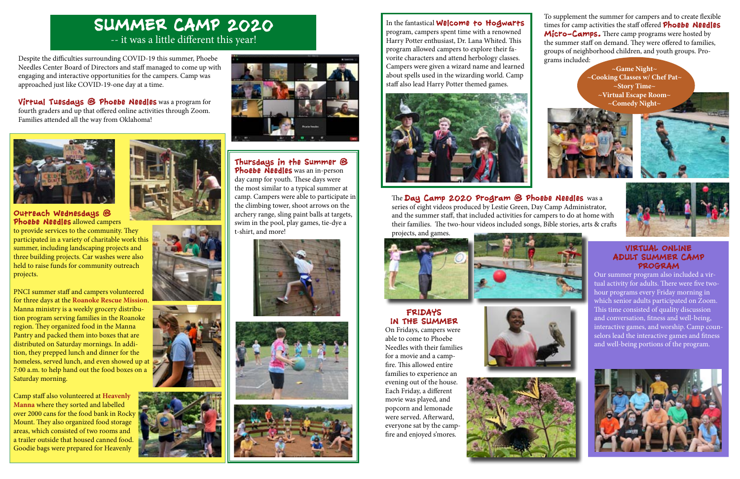#### **Outreach Wednesdays @ Phoebe Needles** allowed campers

to provide services to the community. They participated in a variety of charitable work this summer, including landscaping projects and three building projects. Car washes were also held to raise funds for community outreach projects.

PNCI summer staff and campers volunteered for three days at the **Roanoke Rescue Mission**. Manna ministry is a weekly grocery distribution program serving families in the Roanoke region. They organized food in the Manna Pantry and packed them into boxes that are distributed on Saturday mornings. In addition, they prepped lunch and dinner for the homeless, served lunch, and even showed up at 7:00 a.m. to help hand out the food boxes on a Saturday morning.

Camp staff also volunteered at **Heavenly Manna** where they sorted and labelled over 2000 cans for the food bank in Rocky Mount. They also organized food storage areas, which consisted of two rooms and a trailer outside that housed canned food. Goodie bags were prepared for Heavenly









# **SUMMER CAMP 2020**  -- it was a little different this year!

Despite the difficulties surrounding COVID-19 this summer, Phoebe Needles Center Board of Directors and staff managed to come up with engaging and interactive opportunities for the campers. Camp was approached just like COVID-19-one day at a time.

**Virtual Tuesdays @ Phoebe Needles** was a program for fourth graders and up that offered online activities through Zoom. Families attended all the way from Oklahoma!





**Thursdays in the Summer @ Phoebe Needles** was an in-person day camp for youth. These days were the most similar to a typical summer at camp. Campers were able to participate in the climbing tower, shoot arrows on the archery range, sling paint balls at targets, swim in the pool, play games, tie-dye a







In the fantastical **Welcome to Hogwarts**  program, campers spent time with a renowned Harry Potter enthusiast, Dr. Lana Whited. This program allowed campers to explore their favorite characters and attend herbology classes. Campers were given a wizard name and learned about spells used in the wizarding world. Camp staff also lead Harry Potter themed games.



## **VIRTUAL ONLINE ADULT SUMMER CAMP PROGRAM**

Our summer program also included a virtual activity for adults. There were five twohour programs every Friday morning in which senior adults participated on Zoom. This time consisted of quality discussion and conversation, fitness and well-being, interactive games, and worship. Camp counselors lead the interactive games and fitness and well-being portions of the program.



To supplement the summer for campers and to create flexible times for camp activities the staff offered **Phoebe Needles Micro-Camps.** There camp programs were hosted by the summer staff on demand. They were offered to families, groups of neighborhood children, and youth groups. Programs included:

**~Game Night~ ~Cooking Classes w/ Chef Pat~ ~Story Time~ ~Virtual Escape Room~ ~Comedy Night~**







The **Day Camp 2020 Program @ Phoebe Needles** was a series of eight videos produced by Lestie Green, Day Camp Administrator, and the summer staff, that included activities for campers to do at home with their families. The two-hour videos included songs, Bible stories, arts & crafts projects, and games.





### **FRIDAYS IN THE SUMMER**

On Fridays, campers were able to come to Phoebe Needles with their families for a movie and a campfire. This allowed entire families to experience an evening out of the house. Each Friday, a different movie was played, and popcorn and lemonade were served. Afterward, everyone sat by the campfire and enjoyed s'mores.